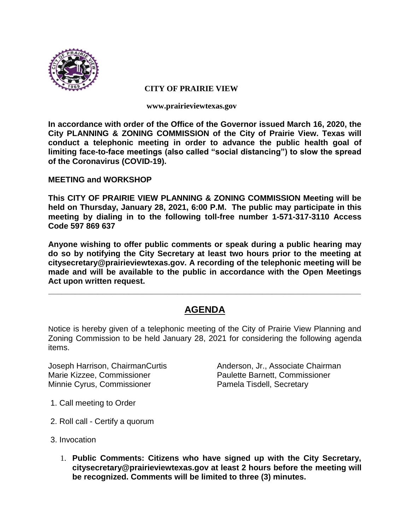

#### **CITY OF PRAIRIE VIEW**

**www.prairieviewtexas.gov**

**In accordance with order of the Office of the Governor issued March 16, 2020, the City PLANNING & ZONING COMMISSION of the City of Prairie View. Texas will conduct a telephonic meeting in order to advance the public health goal of limiting face-to-face meetings (also called "social distancing") to slow the spread of the Coronavirus (COVID-19).** 

### **MEETING and WORKSHOP**

**This CITY OF PRAIRIE VIEW PLANNING & ZONING COMMISSION Meeting will be held on Thursday, January 28, 2021, 6:00 P.M. The public may participate in this meeting by dialing in to the following toll-free number 1-571-317-3110 Access Code 597 869 637**

**Anyone wishing to offer public comments or speak during a public hearing may do so by notifying the City Secretary at least two hours prior to the meeting at citysecretary@prairieviewtexas.gov. A recording of the telephonic meeting will be made and will be available to the public in accordance with the Open Meetings Act upon written request.**

# **AGENDA**

**\_\_\_\_\_\_\_\_\_\_\_\_\_\_\_\_\_\_\_\_\_\_\_\_\_\_\_\_\_\_\_\_\_\_\_\_\_\_\_\_\_\_\_\_\_\_\_\_\_\_\_\_\_\_\_\_\_\_\_\_\_\_\_\_\_\_\_\_\_\_**

Notice is hereby given of a telephonic meeting of the City of Prairie View Planning and Zoning Commission to be held January 28, 2021 for considering the following agenda items.

Marie Kizzee, Commissioner Paulette Barnett, Commissioner Minnie Cyrus, Commissioner **Pamela Tisdell, Secretary** 

Joseph Harrison, ChairmanCurtis Anderson, Jr., Associate Chairman

- 1. Call meeting to Order
- 2. Roll call Certify a quorum
- 3. Invocation
	- 1. **Public Comments: Citizens who have signed up with the City Secretary, citysecretary@prairieviewtexas.gov at least 2 hours before the meeting will be recognized. Comments will be limited to three (3) minutes.**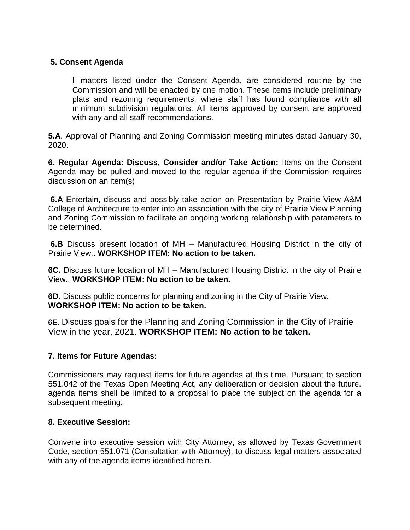## **5. Consent Agenda**

ll matters listed under the Consent Agenda, are considered routine by the Commission and will be enacted by one motion. These items include preliminary plats and rezoning requirements, where staff has found compliance with all minimum subdivision regulations. All items approved by consent are approved with any and all staff recommendations.

**5.A**. Approval of Planning and Zoning Commission meeting minutes dated January 30, 2020.

**6. Regular Agenda: Discuss, Consider and/or Take Action:** Items on the Consent Agenda may be pulled and moved to the regular agenda if the Commission requires discussion on an item(s)

**6.A** Entertain, discuss and possibly take action on Presentation by Prairie View A&M College of Architecture to enter into an association with the city of Prairie View Planning and Zoning Commission to facilitate an ongoing working relationship with parameters to be determined.

**6.B** Discuss present location of MH – Manufactured Housing District in the city of Prairie View.. **WORKSHOP ITEM: No action to be taken.**

**6C.** Discuss future location of MH – Manufactured Housing District in the city of Prairie View.. **WORKSHOP ITEM: No action to be taken.**

**6D.** Discuss public concerns for planning and zoning in the City of Prairie View. **WORKSHOP ITEM: No action to be taken.**

**6E**. Discuss goals for the Planning and Zoning Commission in the City of Prairie View in the year, 2021. **WORKSHOP ITEM: No action to be taken.**

### **7. Items for Future Agendas:**

Commissioners may request items for future agendas at this time. Pursuant to section 551.042 of the Texas Open Meeting Act, any deliberation or decision about the future. agenda items shell be limited to a proposal to place the subject on the agenda for a subsequent meeting.

### **8. Executive Session:**

Convene into executive session with City Attorney, as allowed by Texas Government Code, section 551.071 (Consultation with Attorney), to discuss legal matters associated with any of the agenda items identified herein.